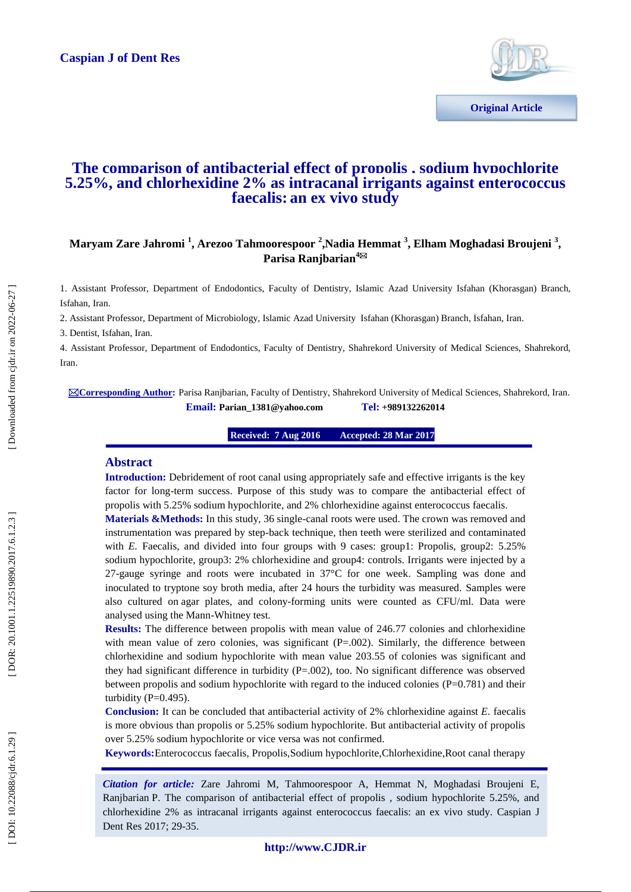

# **The comparison of antibacterial effect of propolis , sodium hypochlorite 5.25%, and chlorhexidine 2% as intracanal irrigants against enterococcus faecalis : an ex vivo study**

## Maryam Zare Jahromi <sup>1</sup>, Arezoo Tahmoorespoor <sup>2</sup>,Nadia Hemmat <sup>3</sup>, Elham Moghadasi Broujeni <sup>3</sup>, **Parisa Ranjbarian 4**

1. Assistant Professor, Department of Endodontics, Faculty of Dentistry , Islamic Azad University Isfahan (Khorasgan) Branch, Isfahan, Iran.

2. Assistant Professor, Department of Microbiology, Islamic Azad University Isfahan (Khorasgan) Branch, Isfahan, Iran.

3. Dentist, Isfahan, Iran.

4. Assistant Professor, Department of Endodontics, Faculty of Dentistry, Shahrekord University of Medical Sciences, Shahrekord, Iran.

**Corresponding Author :** Parisa Ranjbarian, Faculty of Dentistry, Shahrekord University of Medical Sciences, Shahrekord, Iran. **Email: Parian\_1381@yahoo.com +989132262014**

> **16 Received: 7 Aug 2016 8 Mar 2017 2017**

### **Abstract**

**Introduction:** Debridement of root canal using appropriately safe and effective irrigants is the key factor for long-term success. Purpose of this study was to compare the antibacterial effect of propolis with 5.25% sodium hypochlorite, and 2% chlorhexidine against enterococcus faecalis *.*

Materials &Methods: In this study, 36 single-canal roots were used. The crown was removed and instrumentation was prepared by step -back technique, then teeth were sterilized and contaminated with *E.* Faecalis, and divided into four groups with 9 cases: group1: Propolis, group2: 5.25% sodium hypochlorite, group3: 2% chlorhexidine and group4: controls. Irrigants were injected by a 27 -gauge syringe and roots were incubated in 37°C for one week. Sampling was done and inoculated to tryptone soy broth media, after 24 hours the turbidity was measured. Samples were also cultured on agar plates, and colony -forming units were counted as CFU/ml. Data were analysed using the Mann -Whitney test.

**Results:** The difference between propolis with mean value of 246.77 colonies and chlorhexidine with mean value of zero colonies, was significant  $(P=.002)$ . Similarly, the difference between chlorhexidine and sodium hypochlorite with mean value 203.55 of colonies was significant and they had significant difference in turbidity (P=.002), too. No significant difference was observed between propolis and sodium hypochlorite with regard to the induced colonies (P=0.781) and their turbidity ( $P=0.495$ ).

**Conclusion:** It can be concluded that antibacterial activity of 2% chlorhexidine against *E.* faecalis is more obvious than propolis or 5.25% sodium hypochlorite. But antibacterial activity of propolis over 5.25% sodium hypochlorite or vice versa was not confirmed.

**Keywords:**Enterococcus faecalis *,* Propolis,Sodium hypochlorite,Chlorhexidine ,Root canal therapy

*Citation for article:* Zare Jahromi M, Tahmoorespoor A, Hemmat N, Moghadasi Broujeni E, Ranjbarian P. The comparison of antibacterial effect of propolis , sodium hypochlorite 5.25%, and chlorhexidine 2% as intracanal irrigants against enterococcus faecalis: an ex vivo study . Caspian J Dent Res 2017; 29 -35.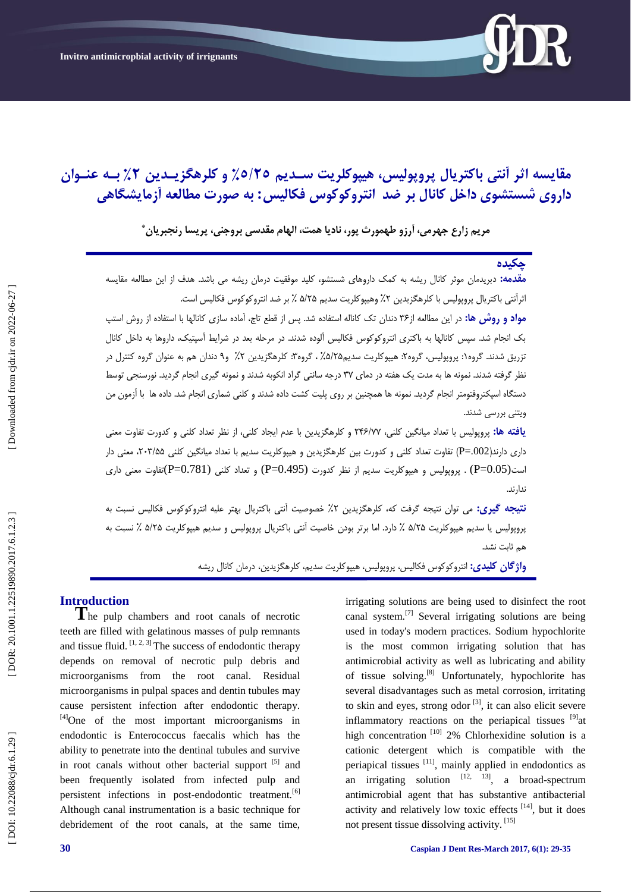

# مقایسه اثر انتی باکتریال پروپولیس، هیپوکلریت سـدیم ٥/٢٥٪ و کلرهکزیـدین ۲٪ بـه عنـوان داروی شستشوی داخل کانال بر ضد انتروکوکوس فکالیس: به صورت مطالعه اَزمایشگاهی

**هرین زارع جْرهی، آرزٍ طْوَرث پَر، ًادیا ّوت، الْام هقیسی برٍجٌی، پریسا رًجبریاى \***

# **چکییُ**

**مقدمه:** دبریدمان موثر کانال ریشه به کمک داروهای شستشو، کلید موفقیت درمان ریشه می باشد. هدف از این مطالعه مقایسه ثراتتی باکتریال پروپولیس با کلرهگزیدین ۲٪ وهیپوکلریت سدیم ۵/۲۵ ٪ بر ضد انتروکوکوس فکالیس است.

<mark>مواد و روش ها:</mark> در این مطالعه از۳۶ دندان تک کاناله استفاده شد. پس از قطع تاج، آماده سازی کانالها با استفاده از روش استپ بک انجام شد. سپس کانالها بِه باکتری انتروکوکوس فکالیس آلوده شدند. در مرحله بعد در شرایط آسپتیک، داروها بِه داخل کانال نزریق شدند. گروه۱: پروپولیس، گروه۲: هیپوکلریت سدیم۲۵٪، گروه۳: کلرهگزیدین ۲٪ و۹ دندان هم به عنوان گروه کنترل در : : نظر گرفته شدند. نمونه ها به مدت یک هفته در دمای ۳۷ درجِه سانتی گراد انکوبه شدند و نمونه گیری انجام گردید. نورسنجی توسط دستگاه اسپکتروفتومتر انجام گردید. نمونه ها همچنین بر روی پلیت کشت داده شدند و کلنی شماری انجام شد. داده ها با آزمون من ویتنی بررسی شدند.

**یافته ها:** پروپولیس با تعداد میانگین کلنی، ۲۴۶/۷۷ و کلرهگزیدین با عدم ایجاد کلنی، از نظر تعداد کلنی و کدورت تفاوت معنی داری دارند(P=.002) تفاوت تعداد کلنی و کدورت بین کلرهگزیدین و هیپوکلریت سدیم با تعداد میانگین کلنی ۲۰۳/۵۵، معنی دار است(1.05 $=$ P) . پروپولیس و هیپوکلریت سدیم از نظر کدورت (9.495 $=$ P) و تعداد کلنی  $($ P $=$ 0.781 $)$ تفاوت معنی داری ندار ند.

**نتیجِه گیری:** می توان نتیجه گرفت که، کلرهگزیدین ۲٪ خصوصیت انتی باکتریال بهتر علیه انتروکوکوس فکالیس نسبت به پروپولیس یا سدیم هیپوکلریت ۵/۲۵ ٪ دارد. اما برتر بودن خاصیت انتی باکتریال پروپولیس و سدیم هیپوکلریت ۵/۲۵ ٪ نسبت به هم ثابت نشد.

**واژگان کلیدی:** انتروکوکوس فکالیس، پروپولیس، هیپوکلریت سدیم، کلرهگزیدین، درمان کانال ریشه

**Introduction**<br> **T**he pulp chambers and root canals of necrotic teeth are filled with gelatinous masses of pulp remnants and tissue fluid.  $[1, 2, 3]$  The success of endodontic therapy depends on removal of necrotic pulp debris and microorganisms from the root canal. Residual microorganisms in pulpal spaces and dentin tubules may cause persistent infection after endodontic therapy. [4]One of the most important microorganisms in endodontic is Enterococcus faecalis which has the ability to penetrate into the dentinal tubules and survive in root canals without other bacterial support [5] and been frequently isolated from infected pulp and persistent infections in post-endodontic treatment.<sup>[6]</sup> Although canal instrumentation is a basic technique for debridement of the root canals, at the same time,

irrigating solutions are being used to disinfect the root canal system.[7] Several irrigating solutions are being used in today's modern practices. Sodium hypochlorite is the most common irrigating solution that has antimicrobial activity as well as lubricating and ability of tissue solving.<sup>[8]</sup> Unfortunately, hypochlorite has several disadvantages such as metal corrosion, irritating to skin and eyes, strong odor  $\left[3\right]$ , it can also elicit severe inflammatory reactions on the periapical tissues  $[9]$ at high concentration  $[10]$  2% Chlorhexidine solution is a cationic detergent which is compatible with the periapical tissues [11], mainly applied in endodontics as an irrigating solution  $[12, 13]$ , a broad-spectrum antimicrobial agent that has substantive antibacterial activity and relatively low toxic effects [14], but it does not present tissue dissolving activity. [15]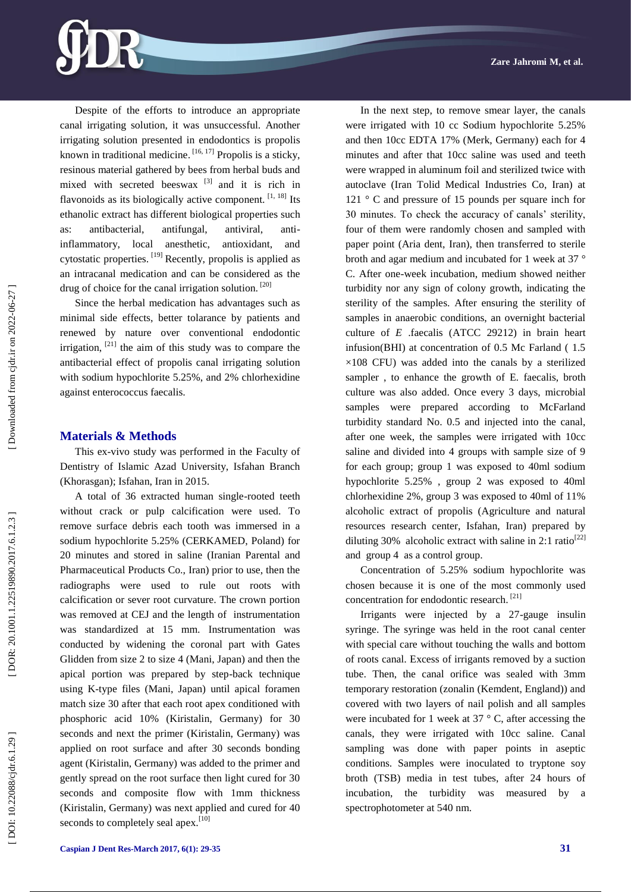Despite of the efforts to introduce an appropriate canal irrigating solution, it was unsuccessful. Another irrigating solution presented in endodontics is propolis known in traditional medicine.  $[16, 17]$  Propolis is a sticky, resinous material gathered by bees from herbal buds and mixed with secreted beeswax  $[3]$  and it is rich in flavonoids as its biologically active component.  $^{[1, 18]}$  Its ethanolic extract has different biological properties such as: antibacterial, antifungal, antiviral, anti antiinflammatory, local anesthetic, antioxidant, and cytostatic properties. [19] Recently, propolis is applied as an intracanal medication and can be considered as the drug of choice for the canal irrigation solution. [20]

Since the herbal medication has advantages such as minimal side effects, better tolarance by patients and renewed by nature over conventional endodontic irrigation, [21] the aim of this study was to compare the antibacterial effect of propolis canal irrigating solution with sodium hypochlorite 5.25%, and 2% chlorhexidine against enterococcus faecalis.

### **Materials & Methods**

This ex -vivo study was performed in the Faculty of Dentistry of Islamic Azad University, Isfahan Branch (Khorasgan); Isfahan, Iran in 2015.

A total of 36 extracted human single -rooted teeth without crack or pulp calcification were used. To remove surface debris each tooth was immersed in a sodium hypochlorite 5.25% (CERKAMED, Poland) for 20 minutes and stored in saline (Iranian Parental and Pharmaceutical Products Co., Iran) prior to use, then the radiographs were used to rule out roots with calcification or sever root curvature. The crown portion was removed at CEJ and the length of instrumentation was standardized at 15 mm. Instrumentation was conducted by widening the coronal part with Gates Glidden from size 2 to size 4 (Mani, Japan) and then the apical portion was prepared by step -back technique using K -type files (Mani, Japan) until apical foramen match size 30 after that each root apex conditioned with phosphoric acid 10% (Kiristalin, Germany) for 30 seconds and next the primer (Kiristalin, Germany) was applied on root surface and after 30 seconds bonding agent (Kiristalin, Germany) was added to the primer and gently spread on the root surface then light cured for 30 seconds and composite flow with 1mm thickness (Kiristalin, Germany) was next applied and cured for 40 seconds to completely seal apex.<sup>[10]</sup>

were irrigated with 10 cc Sodium hypochlorite 5.25% and then 10cc EDTA 17% (Merk, Germany) each for 4 minutes and after that 10cc saline was used and teeth were wrapped in aluminum foil and sterilized twice with autoclave (Iran Tolid Medical Industries Co, Iran) at 121 ° C and pressure of 15 pounds per square inch for 30 minutes. To check the accuracy of canals' sterility, four of them were randomly chosen and sampled with paper point (Aria dent, Iran), then transferred to sterile broth and agar medium and incubated for 1 week at 37 ° C. After one -week incubation, medium showed neither turbidity nor any sign of colony growth, indicating the sterility of the samples. After ensuring the sterility of samples in anaerobic conditions, an overnight bacterial culture of *E*  .faecalis (ATCC 29212) in brain heart infusion(BHI) at concentration of 0.5 Mc Farland ( 1.5  $\times$ 108 CFU) was added into the canals by a sterilized sampler , to enhance the growth of E*.* faecalis, broth culture was also added. Once every 3 days, microbial samples were prepared according to McFarland turbidity standard No. 0.5 and injected into the canal, after one week, the samples were irrigated with 10cc saline and divided into 4 groups with sample size of 9 for each group; group 1 was exposed to 40ml sodium hypochlorite 5.25% , group 2 was exposed to 40ml chlorhexidine 2%, group 3 was exposed to 40ml of 11% alcoholic extract of propolis (Agriculture and natural resources research center, Isfahan, Iran) prepared by diluting 30% alcoholic extract with saline in 2:1 ratio<sup>[22]</sup>

In the next step, to remove smear layer, the canals

Concentration of 5.25% sodium hypochlorite was chosen because it is one of the most commonly used concentration for endodontic research.<sup>[21]</sup>

and group 4 as a control group.

Irrigants were injected by a 27 -gauge insulin syringe. The syringe was held in the root canal center with special care without touching the walls and bottom of roots canal. Excess of irrigants removed by a suction tube. Then, the canal orifice was sealed with 3mm temporary restoration (zonalin (Kemdent, England)) and covered with two layers of nail polish and all samples were incubated for 1 week at 37 ° C, after accessing the canals, they were irrigated with 10cc saline. Canal sampling was done with paper points in aseptic conditions. Samples were inoculated to tryptone soy broth (TSB) media in test tubes, after 24 hours of incubation, the turbidity was measured by spectrophotometer at 540 nm.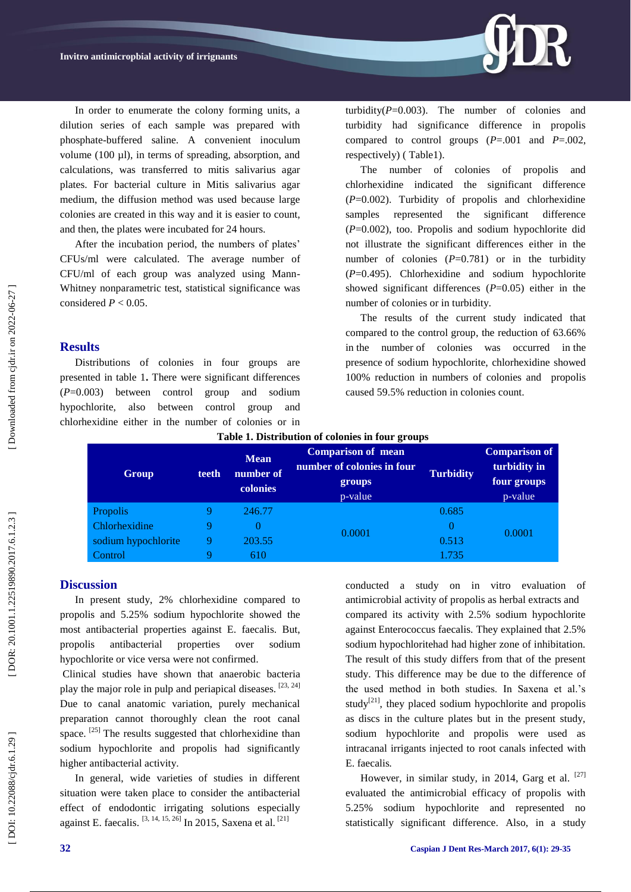

After the incubation period, the numbers of plates' CFUs/ml were calculated. The average number of CFU/ml of each group was analyzed using Mann - Whitney nonparametric test, statistical significance was considered  $P < 0.05$ .

### **Results**

Distributions of colonies in four groups are presented in table 1**.** There were significant differences (*P*=0.003) between control group and sodium hypochlorite, also between control group and chlorhexidine either in the number of colonies or in

turbidity( $P=0.003$ ). The number of colonies and turbidity had significance difference in propolis compared to control groups ( *P*=.001 and *P*=.002, respectively) ( Table1).

The number of colonies of propolis and chlorhexidine indicated the significant difference (*P*=0.002). Turbidity of propolis and chlorhexidine samples represented the significant difference (*P*=0.002), too. Propolis and sodium hypochlorite did not illustrate the significant differences either in the number of colonies  $(P=0.781)$  or in the turbidity ( *P*=0.495). Chlorhexidine and sodium hypochlorite showed significant differences  $(P=0.05)$  either in the number of colonies or in turbidity.

The results of the current study indicated that compared to the control group, the reduction of 63.66% in the number of colonies was occurred in the presence of sodium hypochlorite, chlorhexidine showed 100% reduction in numbers of colonies and propolis caused 59.5% reduction in colonies count.

| Group               | teeth | <b>Mean</b><br>number of<br>colonies | <b>Comparison of mean</b><br>number of colonies in four<br>groups<br>p-value | <b>Turbidity</b> | <b>Comparison of</b><br>turbidity in<br>four groups<br>p-value |
|---------------------|-------|--------------------------------------|------------------------------------------------------------------------------|------------------|----------------------------------------------------------------|
| Propolis            |       | 246.77                               | 0.0001                                                                       | 0.685            | 0.0001                                                         |
| Chlorhexidine       |       |                                      |                                                                              | 0                |                                                                |
| sodium hypochlorite |       | 203.55                               |                                                                              | 0.513            |                                                                |
| Control             |       | 610                                  |                                                                              | 1.735            |                                                                |

# **Discussion**

In present study, 2% chlorhexidine compared to propolis and 5.25% sodium hypochlorite showed the most antibacterial properties against E. faecalis. But, propolis antibacterial properties over sodium hypochlorite or vice versa were not confirmed .

Clinical studies have shown that anaerobic bacteria play the major role in pulp and periapical diseases. [23, 24] Due to canal anatomic variation, purely mechanical preparation cannot thoroughly clean the root canal space. <sup>[25]</sup> The results suggested that chlorhexidine than sodium hypochlorite and propolis had significantly higher antibacterial activity.

In general, wide varieties of studies in different situation were taken place to consider the antibacterial effect of endodontic irrigating solutions especially against E. faecalis. [3, 14, 15, 26] In 2015, Saxena et al. [21]

conducted a study on in vitro evaluation of antimicrobial activity of propolis as herbal extracts and compared its activity with 2.5% sodium hypochlorite against Enterococcus faecalis. They explained that 2.5% sodium hypochloritehad had higher zone of inhibitation. The result of this study differs from that of the present study. This difference may be due to the difference of the used method in both studies. In Saxena et al.'s study<sup>[21]</sup>, they placed sodium hypochlorite and propolis as discs in the culture plates but in the present study, sodium hypochlorite and propolis were used as intracanal irrigants injected to root canals infected with E. faecalis *.*

However, in similar study, in 2014, Garg et al. [27] evaluated the antimicrobial efficacy of propolis with 5.25% sodium hypochlorite and represented no statistically significant difference. Also, in a study

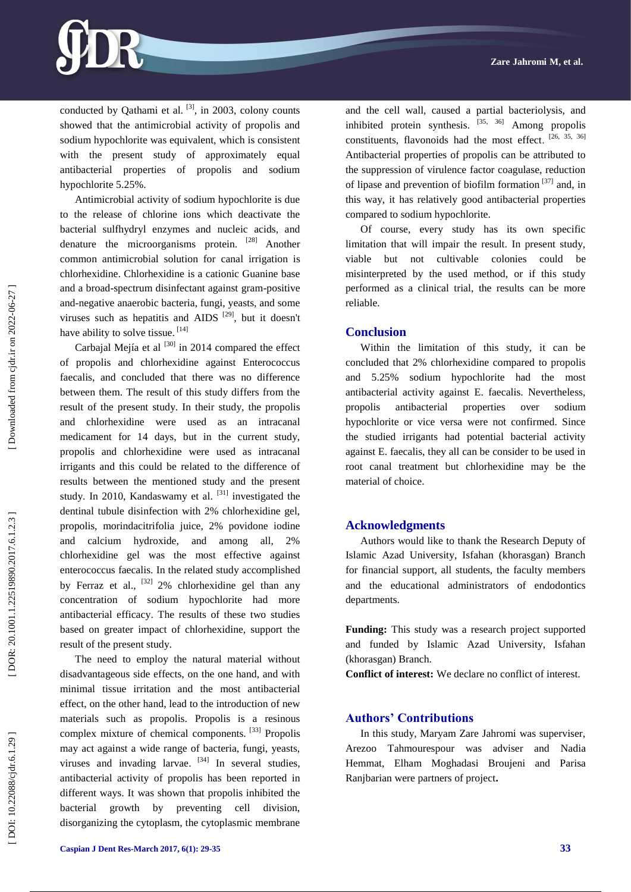conducted by Oathami et al.  $[3]$ , in 2003, colony counts showed that the antimicrobial activity of propolis and sodium hypochlorite was equivalent, which is consistent with the present study of approximately equal antibacterial properties of propolis and sodium hypochlorite 5.25%.

Antimicrobial activity of sodium hypochlorite is due to the release of chlorine ions which deactivate the bacterial sulfhydryl enzymes and nucleic acids, and denature the microorganisms protein. [28] Another common antimicrobial solution for canal irrigation is chlorhexidine. Chlorhexidine is a cationic Guanine base and a broad -spectrum disinfectant against gram -positive and -negative anaerobic bacteria, fungi, yeasts, and some viruses such as hepatitis and AIDS  $[29]$ , but it doesn't have ability to solve tissue. [14]

Carbaial Meiía et al  $^{[30]}$  in 2014 compared the effect of propolis and chlorhexidine against Enterococcus faecalis, and concluded that there was no difference between them. The result of this study differs from the result of the present study. In their study, the propolis and chlorhexidine were used as an intracanal medicament for 14 days, but in the current study, propolis and chlorhexidine were used as intracanal irrigants and this could be related to the difference of results between the mentioned study and the present study. In 2010, Kandaswamy et al.  $[31]$  investigated the dentinal tubule disinfection with 2% chlorhexidine gel, propolis, morindacitrifolia juice, 2% povidone iodine and calcium hydroxide, and among all, 2% chlorhexidine gel was the most effective against enterococcus faecalis. In the related study accomplished by Ferraz et al.,  $^{[32]}$  2% chlorhexidine gel than any concentration of sodium hypochlorite had more antibacterial efficacy. The results of these two studies based on greater impact of chlorhexidine, support the result of the present study.

The need to employ the natural material without disadvantageous side effects, on the one hand, and with minimal tissue irritation and the most antibacterial effect, on the other hand, lead to the introduction of new materials such as propolis. Propolis is a resinous complex mixture of chemical components. [33] Propolis may act against a wide range of bacteria, fungi, yeasts, viruses and invading larvae.  $[34]$  In several studies, antibacterial activity of propolis has been reported in different ways. It was shown that propolis inhibited the bacterial growth by preventing cell division, disorganizing the cytoplasm, the cytoplasmic membrane

Downloaded from cjdr.ir on 2022-06-27]

and the cell wall, caused a partial bacteriolysis, and inhibited protein synthesis.  $[35, 36]$  Among propolis constituents, flavonoids had the most effect. [26, 35, 36] Antibacterial properties of propolis can be attributed to the suppression of virulence factor coagulase, reduction of lipase and prevention of biofilm formation [37] and, in this way, it has relatively good antibacterial properties compared to sodium hypochlorite.

Of course, every study has its own specific limitation that will impair the result. In present study, viable but not cultivable colonies could be misinterpreted by the used method, or if this study performed as a clinical trial, the results can be more reliable.

#### **Conclusion**

Within the limitation of this study, it can be concluded that 2% chlorhexidine compared to propolis and 5.25% sodium hypochlorite had the most antibacterial activity against E. faecalis. Nevertheless, propolis antibacterial properties over sodium hypochlorite or vice versa were not confirmed. Since the studied irrigants had potential bacterial activity against E. faecalis, they all can be consider to be used in root canal treatment but chlorhexidine may be the material of choice.

#### **Acknowledgments**

Authors would like to thank the Research Deputy of Islamic Azad University, Isfahan (khorasgan) Branch for financial support, all students, the faculty members and the educational administrators of endodontics departments.

**Funding:** This study was a research project supported and funded by Islamic Azad University, Isfahan (khorasgan) Branch.

**Conflict of interest:**  We declare no conflict of interest.

### **Authors' Contributions**

In this study, Maryam Zare Jahromi was superviser, Arezoo Tahmourespour was adviser and Nadia Hemmat, Elham Moghadasi Broujeni and Parisa Ranjbarian were partners of project **.**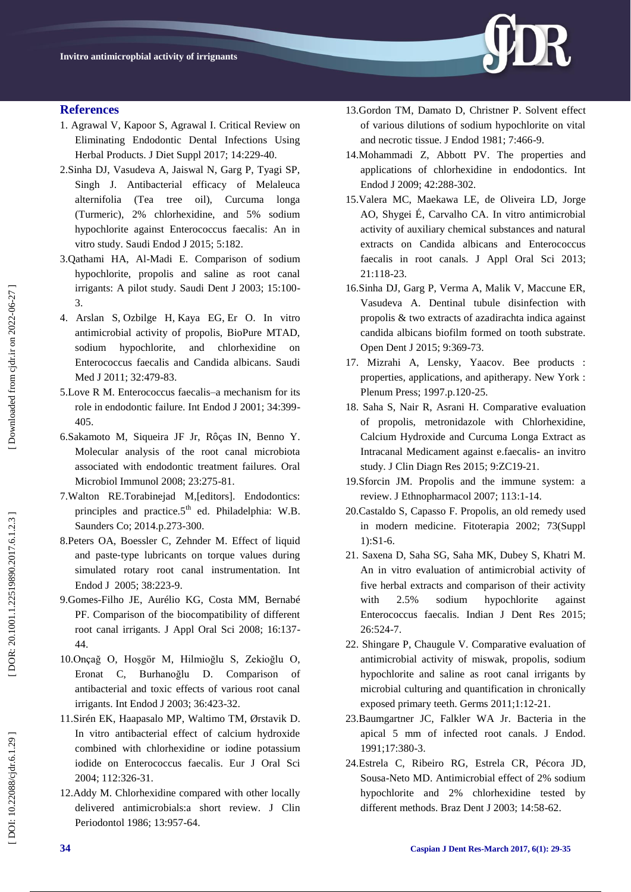

### **References**

- 1. Agrawal V, Kapoor S, Agrawal I. Critical Review on Eliminating Endodontic Dental Infections Using Herbal Products. J Diet Suppl 2017; 14:229 -40.
- 2.Sinha DJ, Vasudeva A, Jaiswal N, Garg P, Tyagi SP, Singh J. Antibacterial efficacy of Melaleuca alternifolia (Tea tree oil), Curcuma longa (Turmeric), 2% chlorhexidine, and 5% sodium hypochlorite against Enterococcus faecalis: An in vitro study. Saudi Endod J 2015; 5:182.
- 3.Qathami HA, Al -Madi E. Comparison of sodium hypochlorite, propolis and saline as root canal irrigants: A pilot study. Saudi Dent J 2003; 15:100 - 3.
- 4. [Arslan S](https://www.ncbi.nlm.nih.gov/pubmed/?term=Arslan%20S%5BAuthor%5D&cauthor=true&cauthor_uid=21556468) , [Ozbilge H](https://www.ncbi.nlm.nih.gov/pubmed/?term=Ozbilge%20H%5BAuthor%5D&cauthor=true&cauthor_uid=21556468) , [Kaya EG](https://www.ncbi.nlm.nih.gov/pubmed/?term=Kaya%20EG%5BAuthor%5D&cauthor=true&cauthor_uid=21556468) , [Er O.](https://www.ncbi.nlm.nih.gov/pubmed/?term=Er%20O%5BAuthor%5D&cauthor=true&cauthor_uid=21556468) In vitro antimicrobial activity of propolis, BioPure MTAD, sodium hypochlorite, and chlorhexidine on Enterococcus faecalis and Candida albicans. Saudi Med J 2011; 32:479-83.
- 5.Love R M. Enterococcus faecalis –a mechanism for its role in endodontic failure. Int Endod J 2001; 34:399 - 405.
- 6.Sakamoto M, Siqueira JF Jr, Rôças IN, Benno Y. Molecular analysis of the root canal microbiota associated with endodontic treatment failures. Oral Microbiol Immunol 2008; 23:275 -81.
- 7.Walton RE.Torabinejad M,[editors]. Endodontics: principles and practice. $5<sup>th</sup>$  ed. Philadelphia: W.B. Saunders Co; 2014.p.273 -300.
- 8[.Peters OA,](https://www.ncbi.nlm.nih.gov/pubmed/?term=Peters%20OA%5BAuthor%5D&cauthor=true&cauthor_uid=15810972) [Boessler C,](https://www.ncbi.nlm.nih.gov/pubmed/?term=Boessler%20C%5BAuthor%5D&cauthor=true&cauthor_uid=15810972) [Zehnder M](https://www.ncbi.nlm.nih.gov/pubmed/?term=Zehnder%20M%5BAuthor%5D&cauthor=true&cauthor_uid=15810972) . Effect of liquid and paste ‐type lubricants on torque values during simulated rotary root canal instrumentation. Int Endod J 2005; 38:223 -9.
- 9.Gomes [-Filho JE,](https://www.ncbi.nlm.nih.gov/pubmed/?term=Gomes-Filho%20JE%5BAuthor%5D&cauthor=true&cauthor_uid=19089206) [Aurélio KG,](https://www.ncbi.nlm.nih.gov/pubmed/?term=Aur%C3%A9lio%20KG%5BAuthor%5D&cauthor=true&cauthor_uid=19089206) [Costa MM,](https://www.ncbi.nlm.nih.gov/pubmed/?term=Costa%20MM%5BAuthor%5D&cauthor=true&cauthor_uid=19089206) [Bernabé](https://www.ncbi.nlm.nih.gov/pubmed/?term=Bernab%C3%A9%20PF%5BAuthor%5D&cauthor=true&cauthor_uid=19089206)  [PF.](https://www.ncbi.nlm.nih.gov/pubmed/?term=Bernab%C3%A9%20PF%5BAuthor%5D&cauthor=true&cauthor_uid=19089206) Comparison of the biocompatibility of different root canal irrigants. J Appl Oral Sci 2008; 16:137 - 44.
- 10[.Onçağ O,](https://www.ncbi.nlm.nih.gov/pubmed/?term=On%C3%A7a%C4%9F%20O%5BAuthor%5D&cauthor=true&cauthor_uid=12801290) [Hoşgör M,](https://www.ncbi.nlm.nih.gov/pubmed/?term=Ho%C5%9Fg%C3%B6r%20M%5BAuthor%5D&cauthor=true&cauthor_uid=12801290) [Hilmioğlu S,](https://www.ncbi.nlm.nih.gov/pubmed/?term=Hilmio%C4%9Flu%20S%5BAuthor%5D&cauthor=true&cauthor_uid=12801290) [Zekioğlu O,](https://www.ncbi.nlm.nih.gov/pubmed/?term=Zekio%C4%9Flu%20O%5BAuthor%5D&cauthor=true&cauthor_uid=12801290) [Eronat C,](https://www.ncbi.nlm.nih.gov/pubmed/?term=Eronat%20C%5BAuthor%5D&cauthor=true&cauthor_uid=12801290) [Burhanoğlu D.](https://www.ncbi.nlm.nih.gov/pubmed/?term=Burhano%C4%9Flu%20D%5BAuthor%5D&cauthor=true&cauthor_uid=12801290) Comparison of antibacterial and toxic effects of various root canal irrigants. Int Endod J 2003; 36:423 -32.
- 11[.Sirén EK,](https://www.ncbi.nlm.nih.gov/pubmed/?term=Sir%C3%A9n%20EK%5BAuthor%5D&cauthor=true&cauthor_uid=15279651) [Haapasalo MP,](https://www.ncbi.nlm.nih.gov/pubmed/?term=Haapasalo%20MP%5BAuthor%5D&cauthor=true&cauthor_uid=15279651) [Waltimo TM,](https://www.ncbi.nlm.nih.gov/pubmed/?term=Waltimo%20TM%5BAuthor%5D&cauthor=true&cauthor_uid=15279651) [Ørstavik D.](https://www.ncbi.nlm.nih.gov/pubmed/?term=%C3%98rstavik%20D%5BAuthor%5D&cauthor=true&cauthor_uid=15279651) In vitro antibacterial effect of calcium hydroxide combined with chlorhexidine or iodine potassium iodide on Enterococcus faecalis. Eur J Oral Sci 2004; 112:326 -31.
- 12[.Addy M](https://www.ncbi.nlm.nih.gov/pubmed/?term=Addy%20M%5BAuthor%5D&cauthor=true&cauthor_uid=3540026) . Chlorhexidine compared with other locally delivered antimicrobials:a short review. J Clin Periodontol 1986; 13:957 -64.
- 1[3.Gordon TM,](https://www.ncbi.nlm.nih.gov/pubmed/?term=Gordon%20TM%5BAuthor%5D&cauthor=true&cauthor_uid=6945388) [Damato D,](https://www.ncbi.nlm.nih.gov/pubmed/?term=Damato%20D%5BAuthor%5D&cauthor=true&cauthor_uid=6945388) [Christner P.](https://www.ncbi.nlm.nih.gov/pubmed/?term=Christner%20P%5BAuthor%5D&cauthor=true&cauthor_uid=6945388) Solvent effect of various dilutions of sodium hypochlorite on vital and necrotic tissue. J Endod 1981; 7:466 -9.
- 1[4.Mohammadi Z,](https://www.ncbi.nlm.nih.gov/pubmed/?term=Mohammadi%20Z%5BAuthor%5D&cauthor=true&cauthor_uid=19220510) [Abbott PV.](https://www.ncbi.nlm.nih.gov/pubmed/?term=Abbott%20PV%5BAuthor%5D&cauthor=true&cauthor_uid=19220510) The properties and applications of chlorhexidine in endodontics. Int Endod J 2009; 42:288 -302.
- 1[5.Valera MC,](https://www.ncbi.nlm.nih.gov/pubmed/?term=Valera%20MC%5BAuthor%5D&cauthor=true&cauthor_uid=23739849) [Maekawa LE,](https://www.ncbi.nlm.nih.gov/pubmed/?term=Maekawa%20LE%5BAuthor%5D&cauthor=true&cauthor_uid=23739849) [de Oliveira LD,](https://www.ncbi.nlm.nih.gov/pubmed/?term=de%20Oliveira%20LD%5BAuthor%5D&cauthor=true&cauthor_uid=23739849) [Jorge](https://www.ncbi.nlm.nih.gov/pubmed/?term=Jorge%20AO%5BAuthor%5D&cauthor=true&cauthor_uid=23739849)  [AO,](https://www.ncbi.nlm.nih.gov/pubmed/?term=Jorge%20AO%5BAuthor%5D&cauthor=true&cauthor_uid=23739849) [Shygei É,](https://www.ncbi.nlm.nih.gov/pubmed/?term=Shygei%20%C3%89%5BAuthor%5D&cauthor=true&cauthor_uid=23739849) [Carvalho CA.](https://www.ncbi.nlm.nih.gov/pubmed/?term=Carvalho%20CA%5BAuthor%5D&cauthor=true&cauthor_uid=23739849) In vitro antimicrobial activity of auxiliary chemical substances and natural extracts on Candida albicans and Enterococcus faecalis in root canals. J Appl Oral Sci 2013; 21:118 -23.
- 16.Sinha DJ, Garg P, Verma A, Malik V, Maccune ER, Vasudeva A. Dentinal tubule disinfection with propolis & two extracts of azadirachta indica against candida albicans biofilm formed on tooth substrate. Open Dent J 2015; 9:369 -73.
- 17. Mizrahi A, Lensky, Yaacov. Bee products : properties, applications, and apitherapy. New York : Plenum Press; 1997.p.120 -25.
- 18. Saha S, Nair R, Asrani H. Comparative evaluation of propolis, metronidazole with Chlorhexidine, Calcium Hydroxide and Curcuma Longa Extract as Intracanal Medicament against e.faecalis - an invitro study. J Clin Diagn Res 2015; 9:ZC19 -21.
- 19.Sforcin JM. Propolis and the immune system: a review. J Ethnopharmacol 2007; 113:1 -14.
- 2[0.Castaldo S,](https://www.ncbi.nlm.nih.gov/pubmed/?term=Castaldo%20S%5BAuthor%5D&cauthor=true&cauthor_uid=12495704) [Capasso F.](https://www.ncbi.nlm.nih.gov/pubmed/?term=Capasso%20F%5BAuthor%5D&cauthor=true&cauthor_uid=12495704) Propolis, an old remedy used in modern medicine. Fitoterapia 2002; 73(Suppl 1):S1 -6.
- 21. Saxena D, Saha SG, Saha MK, Dubey S, Khatri M. An in vitro evaluation of antimicrobial activity of five herbal extracts and comparison of their activity with 2.5% sodium hypochlorite against Enterococcus faecalis. Indian J Dent Res 2015; 26:524 -7.
- 22. Shingare P, Chaugule V. Comparative evaluation of antimicrobial activity of miswak, propolis, sodium hypochlorite and saline as root canal irrigants by microbial culturing and quantification in chronically exposed primary teeth. Germs 2011;1:12 -21.
- 2[3.Baumgartner JC,](https://www.ncbi.nlm.nih.gov/pubmed/?term=Baumgartner%20JC%5BAuthor%5D&cauthor=true&cauthor_uid=1809801) [Falkler WA Jr](https://www.ncbi.nlm.nih.gov/pubmed/?term=Falkler%20WA%20Jr%5BAuthor%5D&cauthor=true&cauthor_uid=1809801) . Bacteria in the apical 5 mm of infected root canals. J Endod. 1991;17:380 -3.
- 2[4.Estrela C,](https://www.ncbi.nlm.nih.gov/pubmed/?term=Estrela%20C%5BAuthor%5D&cauthor=true&cauthor_uid=12656467) [Ribeiro RG,](https://www.ncbi.nlm.nih.gov/pubmed/?term=Ribeiro%20RG%5BAuthor%5D&cauthor=true&cauthor_uid=12656467) [Estrela CR,](https://www.ncbi.nlm.nih.gov/pubmed/?term=Estrela%20CR%5BAuthor%5D&cauthor=true&cauthor_uid=12656467) [Pécora JD,](https://www.ncbi.nlm.nih.gov/pubmed/?term=P%C3%A9cora%20JD%5BAuthor%5D&cauthor=true&cauthor_uid=12656467)  Sousa [-Neto MD](https://www.ncbi.nlm.nih.gov/pubmed/?term=Sousa-Neto%20MD%5BAuthor%5D&cauthor=true&cauthor_uid=12656467) . Antimicrobial effect of 2% sodium hypochlorite and 2% chlorhexidine tested by different methods. Braz Dent J 2003; 14:58 -62.

DOI: 10.22088/cjdr.6.1.29